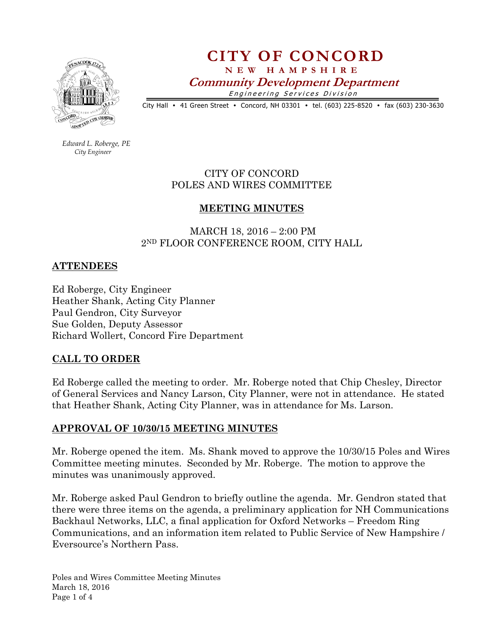

CITY OF CONCORD N E W H A M P S H I R E Community Development Department Engineering Services Division

City Hall • 41 Green Street • Concord, NH 03301 • tel. (603) 225-8520 • fax (603) 230-3630

 Edward L. Roberge, PE City Engineer

> CITY OF CONCORD POLES AND WIRES COMMITTEE

### MEETING MINUTES

 MARCH 18, 2016 – 2:00 PM 2ND FLOOR CONFERENCE ROOM, CITY HALL

### ATTENDEES

Ed Roberge, City Engineer Heather Shank, Acting City Planner Paul Gendron, City Surveyor Sue Golden, Deputy Assessor Richard Wollert, Concord Fire Department

#### CALL TO ORDER

Ed Roberge called the meeting to order. Mr. Roberge noted that Chip Chesley, Director of General Services and Nancy Larson, City Planner, were not in attendance. He stated that Heather Shank, Acting City Planner, was in attendance for Ms. Larson.

#### APPROVAL OF 10/30/15 MEETING MINUTES

Mr. Roberge opened the item. Ms. Shank moved to approve the 10/30/15 Poles and Wires Committee meeting minutes. Seconded by Mr. Roberge. The motion to approve the minutes was unanimously approved.

Mr. Roberge asked Paul Gendron to briefly outline the agenda. Mr. Gendron stated that there were three items on the agenda, a preliminary application for NH Communications Backhaul Networks, LLC, a final application for Oxford Networks – Freedom Ring Communications, and an information item related to Public Service of New Hampshire / Eversource's Northern Pass.

Poles and Wires Committee Meeting Minutes March 18, 2016 Page 1 of 4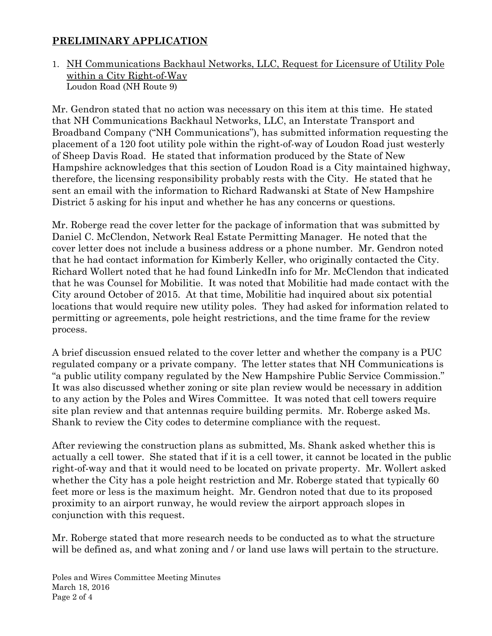## PRELIMINARY APPLICATION

1. NH Communications Backhaul Networks, LLC, Request for Licensure of Utility Pole within a City Right-of-Way Loudon Road (NH Route 9)

Mr. Gendron stated that no action was necessary on this item at this time. He stated that NH Communications Backhaul Networks, LLC, an Interstate Transport and Broadband Company ("NH Communications"), has submitted information requesting the placement of a 120 foot utility pole within the right-of-way of Loudon Road just westerly of Sheep Davis Road. He stated that information produced by the State of New Hampshire acknowledges that this section of Loudon Road is a City maintained highway, therefore, the licensing responsibility probably rests with the City. He stated that he sent an email with the information to Richard Radwanski at State of New Hampshire District 5 asking for his input and whether he has any concerns or questions.

Mr. Roberge read the cover letter for the package of information that was submitted by Daniel C. McClendon, Network Real Estate Permitting Manager. He noted that the cover letter does not include a business address or a phone number. Mr. Gendron noted that he had contact information for Kimberly Keller, who originally contacted the City. Richard Wollert noted that he had found LinkedIn info for Mr. McClendon that indicated that he was Counsel for Mobilitie. It was noted that Mobilitie had made contact with the City around October of 2015. At that time, Mobilitie had inquired about six potential locations that would require new utility poles. They had asked for information related to permitting or agreements, pole height restrictions, and the time frame for the review process.

A brief discussion ensued related to the cover letter and whether the company is a PUC regulated company or a private company. The letter states that NH Communications is "a public utility company regulated by the New Hampshire Public Service Commission." It was also discussed whether zoning or site plan review would be necessary in addition to any action by the Poles and Wires Committee. It was noted that cell towers require site plan review and that antennas require building permits. Mr. Roberge asked Ms. Shank to review the City codes to determine compliance with the request.

After reviewing the construction plans as submitted, Ms. Shank asked whether this is actually a cell tower. She stated that if it is a cell tower, it cannot be located in the public right-of-way and that it would need to be located on private property. Mr. Wollert asked whether the City has a pole height restriction and Mr. Roberge stated that typically 60 feet more or less is the maximum height. Mr. Gendron noted that due to its proposed proximity to an airport runway, he would review the airport approach slopes in conjunction with this request.

Mr. Roberge stated that more research needs to be conducted as to what the structure will be defined as, and what zoning and / or land use laws will pertain to the structure.

Poles and Wires Committee Meeting Minutes March 18, 2016 Page 2 of 4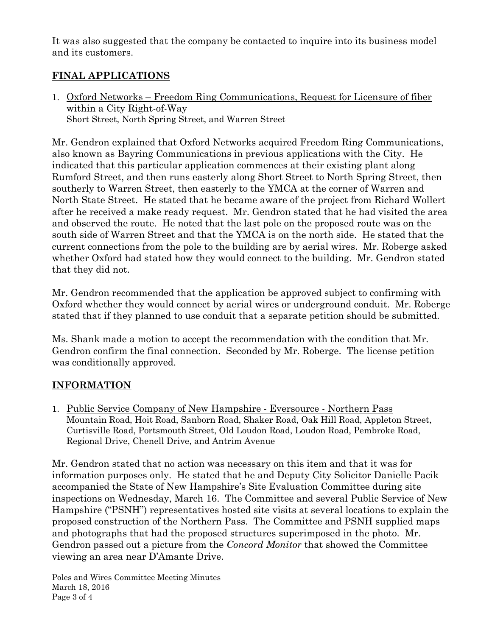It was also suggested that the company be contacted to inquire into its business model and its customers.

# FINAL APPLICATIONS

1. Oxford Networks – Freedom Ring Communications, Request for Licensure of fiber within a City Right-of-Way Short Street, North Spring Street, and Warren Street

Mr. Gendron explained that Oxford Networks acquired Freedom Ring Communications, also known as Bayring Communications in previous applications with the City. He indicated that this particular application commences at their existing plant along Rumford Street, and then runs easterly along Short Street to North Spring Street, then southerly to Warren Street, then easterly to the YMCA at the corner of Warren and North State Street. He stated that he became aware of the project from Richard Wollert after he received a make ready request. Mr. Gendron stated that he had visited the area and observed the route. He noted that the last pole on the proposed route was on the south side of Warren Street and that the YMCA is on the north side. He stated that the current connections from the pole to the building are by aerial wires. Mr. Roberge asked whether Oxford had stated how they would connect to the building. Mr. Gendron stated that they did not.

Mr. Gendron recommended that the application be approved subject to confirming with Oxford whether they would connect by aerial wires or underground conduit. Mr. Roberge stated that if they planned to use conduit that a separate petition should be submitted.

Ms. Shank made a motion to accept the recommendation with the condition that Mr. Gendron confirm the final connection. Seconded by Mr. Roberge. The license petition was conditionally approved.

# INFORMATION

1. Public Service Company of New Hampshire - Eversource - Northern Pass Mountain Road, Hoit Road, Sanborn Road, Shaker Road, Oak Hill Road, Appleton Street, Curtisville Road, Portsmouth Street, Old Loudon Road, Loudon Road, Pembroke Road, Regional Drive, Chenell Drive, and Antrim Avenue

Mr. Gendron stated that no action was necessary on this item and that it was for information purposes only. He stated that he and Deputy City Solicitor Danielle Pacik accompanied the State of New Hampshire's Site Evaluation Committee during site inspections on Wednesday, March 16. The Committee and several Public Service of New Hampshire ("PSNH") representatives hosted site visits at several locations to explain the proposed construction of the Northern Pass. The Committee and PSNH supplied maps and photographs that had the proposed structures superimposed in the photo. Mr. Gendron passed out a picture from the Concord Monitor that showed the Committee viewing an area near D'Amante Drive.

Poles and Wires Committee Meeting Minutes March 18, 2016 Page 3 of 4